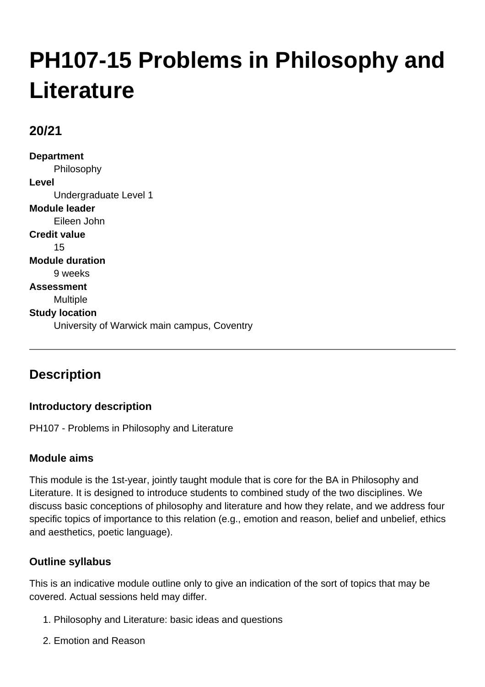# **PH107-15 Problems in Philosophy and Literature**

# **20/21**

**Department** Philosophy **Level** Undergraduate Level 1 **Module leader** Eileen John **Credit value** 15 **Module duration** 9 weeks **Assessment** Multiple **Study location** University of Warwick main campus, Coventry

# **Description**

## **Introductory description**

PH107 - Problems in Philosophy and Literature

## **Module aims**

This module is the 1st-year, jointly taught module that is core for the BA in Philosophy and Literature. It is designed to introduce students to combined study of the two disciplines. We discuss basic conceptions of philosophy and literature and how they relate, and we address four specific topics of importance to this relation (e.g., emotion and reason, belief and unbelief, ethics and aesthetics, poetic language).

## **Outline syllabus**

This is an indicative module outline only to give an indication of the sort of topics that may be covered. Actual sessions held may differ.

- 1. Philosophy and Literature: basic ideas and questions
- 2. Emotion and Reason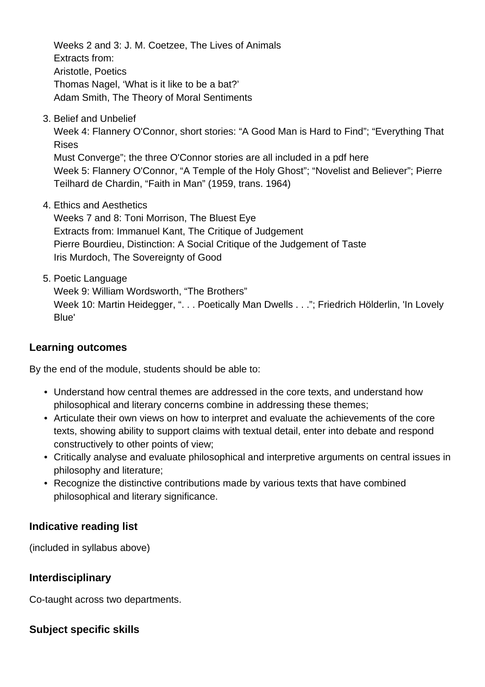Weeks 2 and 3: J. M. Coetzee, The Lives of Animals Extracts from: Aristotle, Poetics Thomas Nagel, 'What is it like to be a bat?' Adam Smith, The Theory of Moral Sentiments

3. Belief and Unbelief

Week 4: Flannery O'Connor, short stories: "A Good Man is Hard to Find"; "Everything That Rises

Must Converge"; the three O'Connor stories are all included in a pdf here Week 5: Flannery O'Connor, "A Temple of the Holy Ghost"; "Novelist and Believer"; Pierre Teilhard de Chardin, "Faith in Man" (1959, trans. 1964)

Ethics and Aesthetics 4.

Weeks 7 and 8: Toni Morrison, The Bluest Eye Extracts from: Immanuel Kant, The Critique of Judgement Pierre Bourdieu, Distinction: A Social Critique of the Judgement of Taste Iris Murdoch, The Sovereignty of Good

5. Poetic Language

Week 9: William Wordsworth, "The Brothers" Week 10: Martin Heidegger, ". . . Poetically Man Dwells . . ."; Friedrich Hölderlin, 'In Lovely Blue'

#### **Learning outcomes**

By the end of the module, students should be able to:

- Understand how central themes are addressed in the core texts, and understand how philosophical and literary concerns combine in addressing these themes;
- Articulate their own views on how to interpret and evaluate the achievements of the core texts, showing ability to support claims with textual detail, enter into debate and respond constructively to other points of view;
- Critically analyse and evaluate philosophical and interpretive arguments on central issues in philosophy and literature;
- Recognize the distinctive contributions made by various texts that have combined philosophical and literary significance.

## **Indicative reading list**

(included in syllabus above)

## **Interdisciplinary**

Co-taught across two departments.

## **Subject specific skills**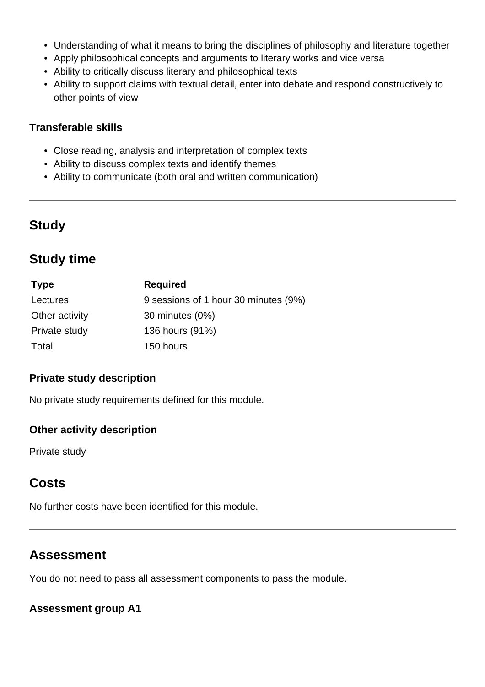- Understanding of what it means to bring the disciplines of philosophy and literature together
- Apply philosophical concepts and arguments to literary works and vice versa
- Ability to critically discuss literary and philosophical texts
- Ability to support claims with textual detail, enter into debate and respond constructively to other points of view

#### **Transferable skills**

- Close reading, analysis and interpretation of complex texts
- Ability to discuss complex texts and identify themes
- Ability to communicate (both oral and written communication)

# **Study**

# **Study time**

| <b>Type</b>    | <b>Required</b>                      |
|----------------|--------------------------------------|
| Lectures       | 9 sessions of 1 hour 30 minutes (9%) |
| Other activity | 30 minutes (0%)                      |
| Private study  | 136 hours (91%)                      |
| Total          | 150 hours                            |

#### **Private study description**

No private study requirements defined for this module.

#### **Other activity description**

Private study

# **Costs**

No further costs have been identified for this module.

# **Assessment**

You do not need to pass all assessment components to pass the module.

#### **Assessment group A1**